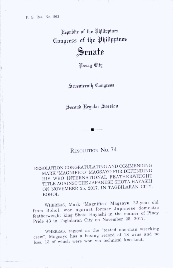Republic of the Philippines Congress of the Philippines

Senate

*Hasay* City

Seventeenth Congress

Second Regular Session

RESOLUTION No. 74

RESOLUTION CONGRATULATING AND COMMENDING MARK "MAGNIFICO" MAGSAYO FOR DEFENDING HIS WBO INTERNATIONAL FEATHERWEIGHT TITLE AGAINST THE JAPANESE SHOTA HAYASHI ON NOVEMBER 25, 2017, IN TAGBILARAN CITY, BOHOL

WHEREAS, Mark "Magnifico" Magsaye, 22-year old from Bohol, won against former Japanese domestic featherweight king Shota Hayashi in the mainer of Pmoy Pride 43 in Tagbilaran City on November 25, 2017;

WHEREAS, tagged as the "tested one-man wrecking crew", Magsayo has a boxing record of 18 wins and no loss, 13 of which were won via technical knockout;